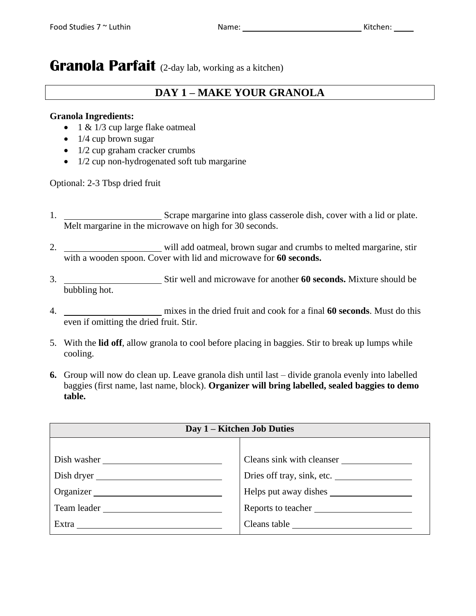# **Granola Parfait** (2-day lab, working as a kitchen)

### **DAY 1 – MAKE YOUR GRANOLA**

### **Granola Ingredients:**

- 1 & 1/3 cup large flake oatmeal
- $\bullet$  1/4 cup brown sugar
- 1/2 cup graham cracker crumbs
- 1/2 cup non-hydrogenated soft tub margarine

Optional: 2-3 Tbsp dried fruit

- 1. Scrape margarine into glass casserole dish, cover with a lid or plate. Melt margarine in the microwave on high for 30 seconds.
- 2. will add oatmeal, brown sugar and crumbs to melted margarine, stir with a wooden spoon. Cover with lid and microwave for **60 seconds.**
- 3. Stir well and microwave for another **60 seconds.** Mixture should be bubbling hot.
- 4. mixes in the dried fruit and cook for a final **60 seconds**. Must do this even if omitting the dried fruit. Stir.
- 5. With the **lid off**, allow granola to cool before placing in baggies. Stir to break up lumps while cooling.
- **6.** Group will now do clean up. Leave granola dish until last divide granola evenly into labelled baggies (first name, last name, block). **Organizer will bring labelled, sealed baggies to demo table.**

| Day 1 – Kitchen Job Duties |                            |
|----------------------------|----------------------------|
|                            |                            |
| Dish washer                | Cleans sink with cleanser  |
| Dish dryer                 | Dries off tray, sink, etc. |
| Organizer                  |                            |
| Team leader                | Reports to teacher         |
|                            |                            |